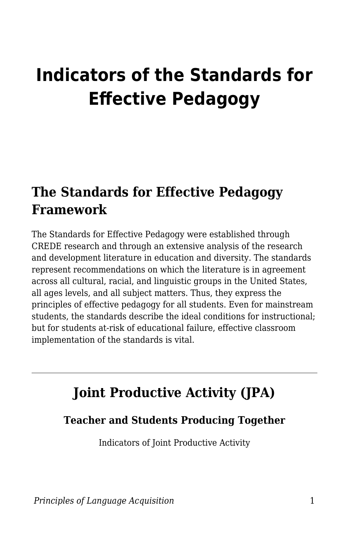# **Indicators of the Standards for Effective Pedagogy**

### **The Standards for Effective Pedagogy Framework**

The Standards for Effective Pedagogy were established through CREDE research and through an extensive analysis of the research and development literature in education and diversity. The standards represent recommendations on which the literature is in agreement across all cultural, racial, and linguistic groups in the United States, all ages levels, and all subject matters. Thus, they express the principles of effective pedagogy for all students. Even for mainstream students, the standards describe the ideal conditions for instructional; but for students at-risk of educational failure, effective classroom implementation of the standards is vital.

# **Joint Productive Activity (JPA)**

#### **Teacher and Students Producing Together**

Indicators of Joint Productive Activity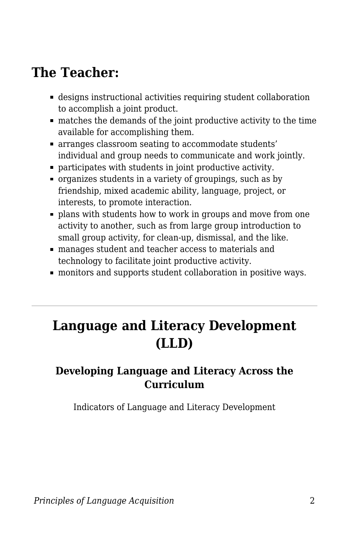### **The Teacher:**

- designs instructional activities requiring student collaboration to accomplish a joint product.
- matches the demands of the joint productive activity to the time available for accomplishing them.
- arranges classroom seating to accommodate students' individual and group needs to communicate and work jointly.
- participates with students in joint productive activity.
- organizes students in a variety of groupings, such as by friendship, mixed academic ability, language, project, or interests, to promote interaction.
- plans with students how to work in groups and move from one activity to another, such as from large group introduction to small group activity, for clean-up, dismissal, and the like.
- manages student and teacher access to materials and technology to facilitate joint productive activity.
- monitors and supports student collaboration in positive ways.

# **Language and Literacy Development (LLD)**

#### **Developing Language and Literacy Across the Curriculum**

Indicators of Language and Literacy Development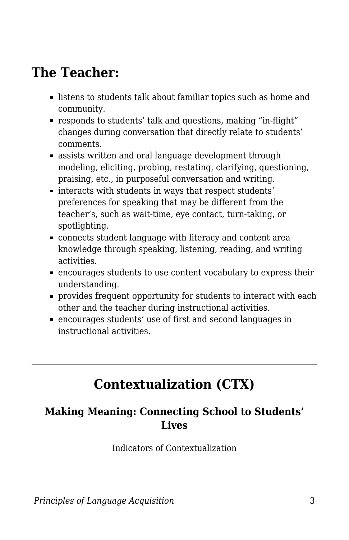### **The Teacher:**

- **Example 1** listens to students talk about familiar topics such as home and community.
- responds to students' talk and questions, making "in-flight" changes during conversation that directly relate to students' comments.
- **Exercise is assists written and oral language development through** modeling, eliciting, probing, restating, clarifying, questioning, praising, etc., in purposeful conversation and writing.
- interacts with students in ways that respect students' preferences for speaking that may be different from the teacher's, such as wait-time, eye contact, turn-taking, or spotlighting.
- connects student language with literacy and content area knowledge through speaking, listening, reading, and writing activities.
- encourages students to use content vocabulary to express their understanding.
- provides frequent opportunity for students to interact with each other and the teacher during instructional activities.
- encourages students' use of first and second languages in instructional activities.

# **Contextualization (CTX)**

#### **Making Meaning: Connecting School to Students' Lives**

Indicators of Contextualization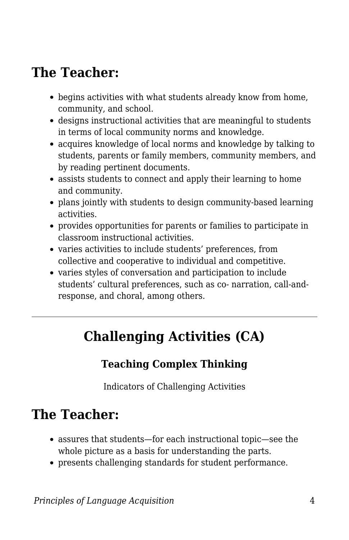# **The Teacher:**

- begins activities with what students already know from home, community, and school.
- designs instructional activities that are meaningful to students in terms of local community norms and knowledge.
- acquires knowledge of local norms and knowledge by talking to students, parents or family members, community members, and by reading pertinent documents.
- assists students to connect and apply their learning to home and community.
- plans jointly with students to design community-based learning activities.
- provides opportunities for parents or families to participate in classroom instructional activities.
- varies activities to include students' preferences, from collective and cooperative to individual and competitive.
- varies styles of conversation and participation to include students' cultural preferences, such as co- narration, call-andresponse, and choral, among others.

# **Challenging Activities (CA)**

### **Teaching Complex Thinking**

Indicators of Challenging Activities

# **The Teacher:**

- assures that students—for each instructional topic—see the whole picture as a basis for understanding the parts.
- presents challenging standards for student performance.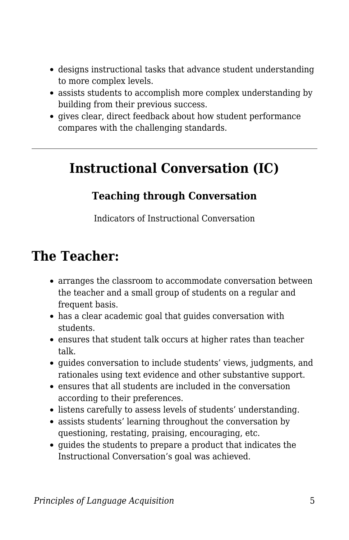- designs instructional tasks that advance student understanding to more complex levels.
- assists students to accomplish more complex understanding by building from their previous success.
- gives clear, direct feedback about how student performance compares with the challenging standards.

### **Instructional Conversation (IC)**

#### **Teaching through Conversation**

Indicators of Instructional Conversation

### **The Teacher:**

- arranges the classroom to accommodate conversation between the teacher and a small group of students on a regular and frequent basis.
- has a clear academic goal that guides conversation with students.
- ensures that student talk occurs at higher rates than teacher talk.
- guides conversation to include students' views, judgments, and rationales using text evidence and other substantive support.
- ensures that all students are included in the conversation according to their preferences.
- listens carefully to assess levels of students' understanding.
- assists students' learning throughout the conversation by questioning, restating, praising, encouraging, etc.
- guides the students to prepare a product that indicates the Instructional Conversation's goal was achieved.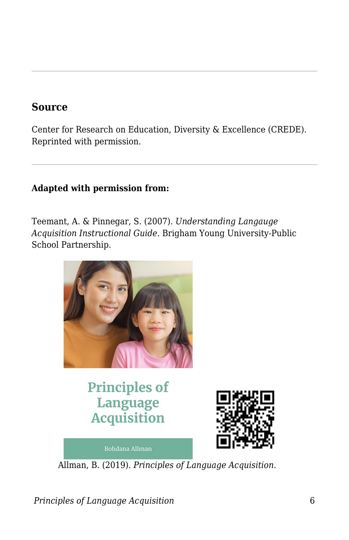#### **Source**

Center for Research on Education, Diversity & Excellence (CREDE). Reprinted with permission.

#### **Adapted with permission from:**

Teemant, A. & Pinnegar, S. (2007). *Understanding Langauge Acquisition Instructional Guide.* Brigham Young University-Public School Partnership.



### **Principles of** Language **Acquisition**



**Bohdana Allman** 

Allman, B. (2019). *Principles of Language Acquisition*.